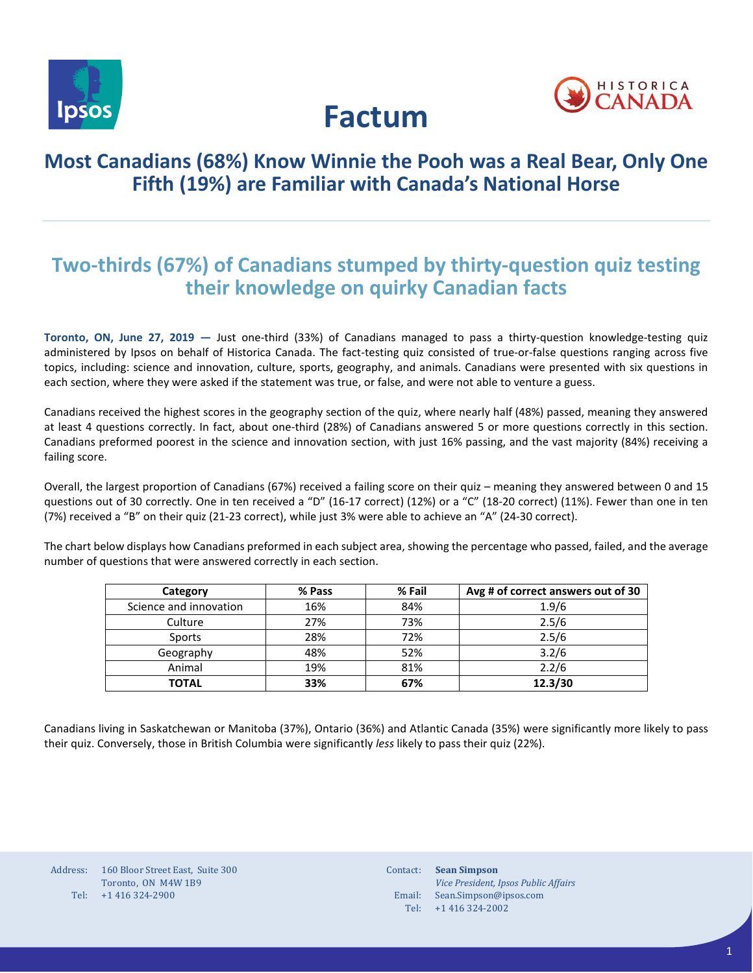



# **Factum**

### **Most Canadians (68%) Know Winnie the Pooh was a Real Bear, Only One Fifth (19%) are Familiar with Canada's National Horse**

# **Two-thirds (67%) of Canadians stumped by thirty-question quiz testing their knowledge on quirky Canadian facts**

**Toronto, ON, June 27, 2019 —** Just one-third (33%) of Canadians managed to pass a thirty-question knowledge-testing quiz administered by Ipsos on behalf of Historica Canada. The fact-testing quiz consisted of true-or-false questions ranging across five topics, including: science and innovation, culture, sports, geography, and animals. Canadians were presented with six questions in each section, where they were asked if the statement was true, or false, and were not able to venture a guess.

Canadians received the highest scores in the geography section of the quiz, where nearly half (48%) passed, meaning they answered at least 4 questions correctly. In fact, about one-third (28%) of Canadians answered 5 or more questions correctly in this section. Canadians preformed poorest in the science and innovation section, with just 16% passing, and the vast majority (84%) receiving a failing score.

Overall, the largest proportion of Canadians (67%) received a failing score on their quiz – meaning they answered between 0 and 15 questions out of 30 correctly. One in ten received a "D" (16-17 correct) (12%) or a "C" (18-20 correct) (11%). Fewer than one in ten (7%) received a "B" on their quiz (21-23 correct), while just 3% were able to achieve an "A" (24-30 correct).

The chart below displays how Canadians preformed in each subject area, showing the percentage who passed, failed, and the average number of questions that were answered correctly in each section.

| Category               | % Pass | % Fail | Avg # of correct answers out of 30 |
|------------------------|--------|--------|------------------------------------|
| Science and innovation | 16%    | 84%    | 1.9/6                              |
| Culture                | 27%    | 73%    | 2.5/6                              |
| Sports                 | 28%    | 72%    | 2.5/6                              |
| Geography              | 48%    | 52%    | 3.2/6                              |
| Animal                 | 19%    | 81%    | 2.2/6                              |
| <b>TOTAL</b>           | 33%    | 67%    | 12.3/30                            |

Canadians living in Saskatchewan or Manitoba (37%), Ontario (36%) and Atlantic Canada (35%) were significantly more likely to pass their quiz. Conversely, those in British Columbia were significantly *less* likely to pass their quiz (22%).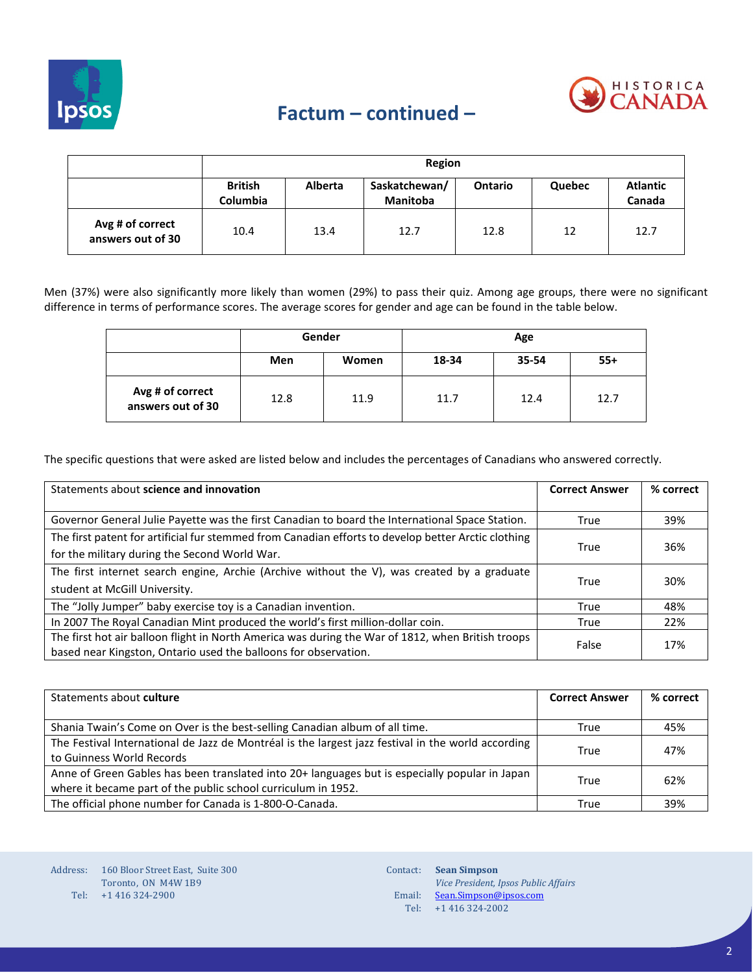

## **Factum – continued –**

|                                       |                                   |                | Region                           |                |        |                           |
|---------------------------------------|-----------------------------------|----------------|----------------------------------|----------------|--------|---------------------------|
|                                       | <b>British</b><br><b>Columbia</b> | <b>Alberta</b> | Saskatchewan/<br><b>Manitoba</b> | <b>Ontario</b> | Quebec | <b>Atlantic</b><br>Canada |
| Avg # of correct<br>answers out of 30 | 10.4                              | 13.4           | 12.7                             | 12.8           | 12     | 12.7                      |

Men (37%) were also significantly more likely than women (29%) to pass their quiz. Among age groups, there were no significant difference in terms of performance scores. The average scores for gender and age can be found in the table below.

|                                       | Gender |       | Age   |       |       |
|---------------------------------------|--------|-------|-------|-------|-------|
|                                       | Men    | Women | 18-34 | 35-54 | $55+$ |
| Avg # of correct<br>answers out of 30 | 12.8   | 11.9  | 11.7  | 12.4  | 12.7  |

The specific questions that were asked are listed below and includes the percentages of Canadians who answered correctly.

| Statements about science and innovation                                                                    | <b>Correct Answer</b> | % correct |
|------------------------------------------------------------------------------------------------------------|-----------------------|-----------|
|                                                                                                            |                       |           |
| Governor General Julie Payette was the first Canadian to board the International Space Station.            | True                  | 39%       |
| The first patent for artificial fur stemmed from Canadian efforts to develop better Arctic clothing        |                       |           |
| for the military during the Second World War.                                                              | True                  | 36%       |
| The first internet search engine, Archie (Archive without the V), was created by a graduate                |                       |           |
| student at McGill University.                                                                              | True                  | 30%       |
| The "Jolly Jumper" baby exercise toy is a Canadian invention.                                              | True                  | 48%       |
| In 2007 The Royal Canadian Mint produced the world's first million-dollar coin.                            | True                  | 22%       |
| The first hot air balloon flight in North America was during the War of 1812, when British troops<br>False |                       | 17%       |
| based near Kingston, Ontario used the balloons for observation.                                            |                       |           |

| Statements about culture                                                                           | <b>Correct Answer</b> | % correct |
|----------------------------------------------------------------------------------------------------|-----------------------|-----------|
|                                                                                                    |                       |           |
| Shania Twain's Come on Over is the best-selling Canadian album of all time.                        | True                  | 45%       |
| The Festival International de Jazz de Montréal is the largest jazz festival in the world according | True                  | 47%       |
| to Guinness World Records                                                                          |                       |           |
| Anne of Green Gables has been translated into 20+ languages but is especially popular in Japan     | True                  | 62%       |
| where it became part of the public school curriculum in 1952.                                      |                       |           |
| The official phone number for Canada is 1-800-O-Canada.                                            | True                  | 39%       |

Address: 160 Bloor Street East, Suite 300 Tel: +1 416 324-2900 Toronto, ON M4W 1B9

Contact: **Sean Simpson** Email: <u>[Sean.Simpson@ipsos.com](mailto:Sean.Simpson@ipsos.com)</u> Tel: +1 416 324-2002 *Vice President, Ipsos Public Affairs*

2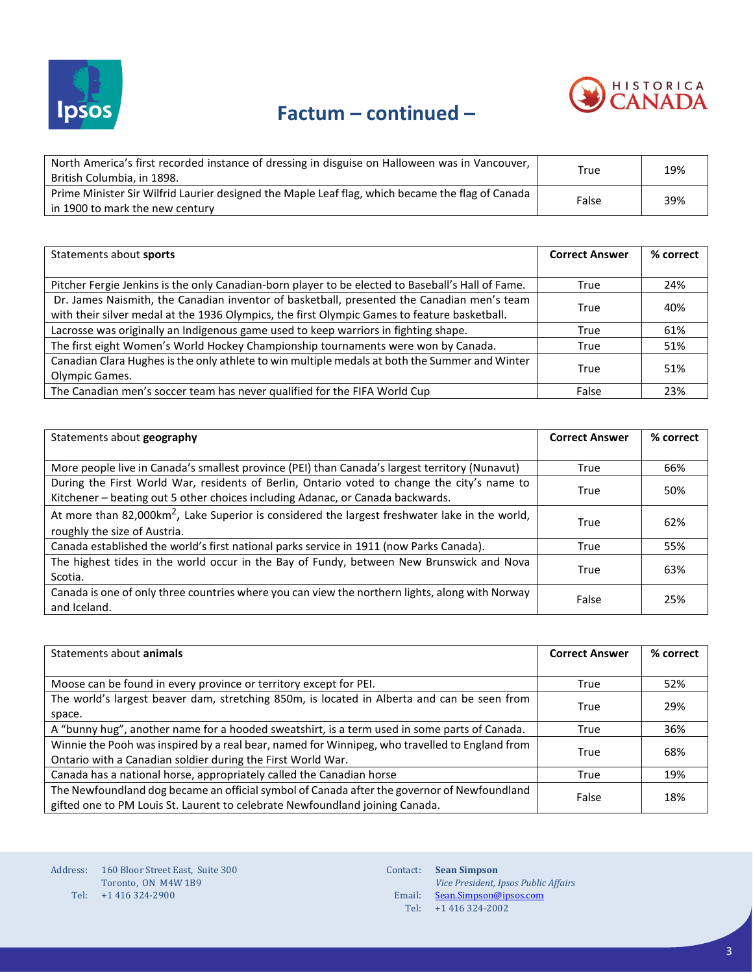



| North America's first recorded instance of dressing in disguise on Halloween was in Vancouver,<br>British Columbia, in 1898.        | True  | 19% |
|-------------------------------------------------------------------------------------------------------------------------------------|-------|-----|
| Prime Minister Sir Wilfrid Laurier designed the Maple Leaf flag, which became the flag of Canada<br>in 1900 to mark the new century | False | 39% |

| Statements about sports                                                                           | <b>Correct Answer</b> | % correct |
|---------------------------------------------------------------------------------------------------|-----------------------|-----------|
|                                                                                                   |                       |           |
| Pitcher Fergie Jenkins is the only Canadian-born player to be elected to Baseball's Hall of Fame. | True                  | 24%       |
| Dr. James Naismith, the Canadian inventor of basketball, presented the Canadian men's team        | True                  | 40%       |
| with their silver medal at the 1936 Olympics, the first Olympic Games to feature basketball.      |                       |           |
| Lacrosse was originally an Indigenous game used to keep warriors in fighting shape.               | True                  | 61%       |
| The first eight Women's World Hockey Championship tournaments were won by Canada.                 | True                  | 51%       |
| Canadian Clara Hughes is the only athlete to win multiple medals at both the Summer and Winter    | True                  | 51%       |
| Olympic Games.                                                                                    |                       |           |
| The Canadian men's soccer team has never qualified for the FIFA World Cup                         | False                 | 23%       |

| Statements about geography                                                                                 | <b>Correct Answer</b> | % correct |
|------------------------------------------------------------------------------------------------------------|-----------------------|-----------|
|                                                                                                            |                       |           |
| More people live in Canada's smallest province (PEI) than Canada's largest territory (Nunavut)             | True                  | 66%       |
| During the First World War, residents of Berlin, Ontario voted to change the city's name to                | True                  | 50%       |
| Kitchener - beating out 5 other choices including Adanac, or Canada backwards.                             |                       |           |
| At more than 82,000km <sup>2</sup> , Lake Superior is considered the largest freshwater lake in the world, |                       |           |
| roughly the size of Austria.                                                                               | True                  | 62%       |
| Canada established the world's first national parks service in 1911 (now Parks Canada).                    | True                  | 55%       |
| The highest tides in the world occur in the Bay of Fundy, between New Brunswick and Nova                   | True                  | 63%       |
| Scotia.                                                                                                    |                       |           |
| Canada is one of only three countries where you can view the northern lights, along with Norway            | False                 | 25%       |
| and Iceland.                                                                                               |                       |           |

| Statements about <b>animals</b>                                                                | <b>Correct Answer</b> | % correct |
|------------------------------------------------------------------------------------------------|-----------------------|-----------|
|                                                                                                |                       |           |
| Moose can be found in every province or territory except for PEI.                              | True                  | 52%       |
| The world's largest beaver dam, stretching 850m, is located in Alberta and can be seen from    | True                  | 29%       |
| space.                                                                                         |                       |           |
| A "bunny hug", another name for a hooded sweatshirt, is a term used in some parts of Canada.   | True                  | 36%       |
| Winnie the Pooh was inspired by a real bear, named for Winnipeg, who travelled to England from | True                  | 68%       |
| Ontario with a Canadian soldier during the First World War.                                    |                       |           |
| Canada has a national horse, appropriately called the Canadian horse                           | True                  | 19%       |
| The Newfoundland dog became an official symbol of Canada after the governor of Newfoundland    |                       | 18%       |
| gifted one to PM Louis St. Laurent to celebrate Newfoundland joining Canada.                   | False                 |           |

Address: 160 Bloor Street East, Suite 300 Tel: +1 416 324-2900 Toronto, ON M4W 1B9

Contact: **Sean Simpson** Email: Tel: *Vice President, Ipsos Public Affairs* [Sean.Simpson@ipsos.com](mailto:Sean.Simpson@ipsos.com) +1 416 324-2002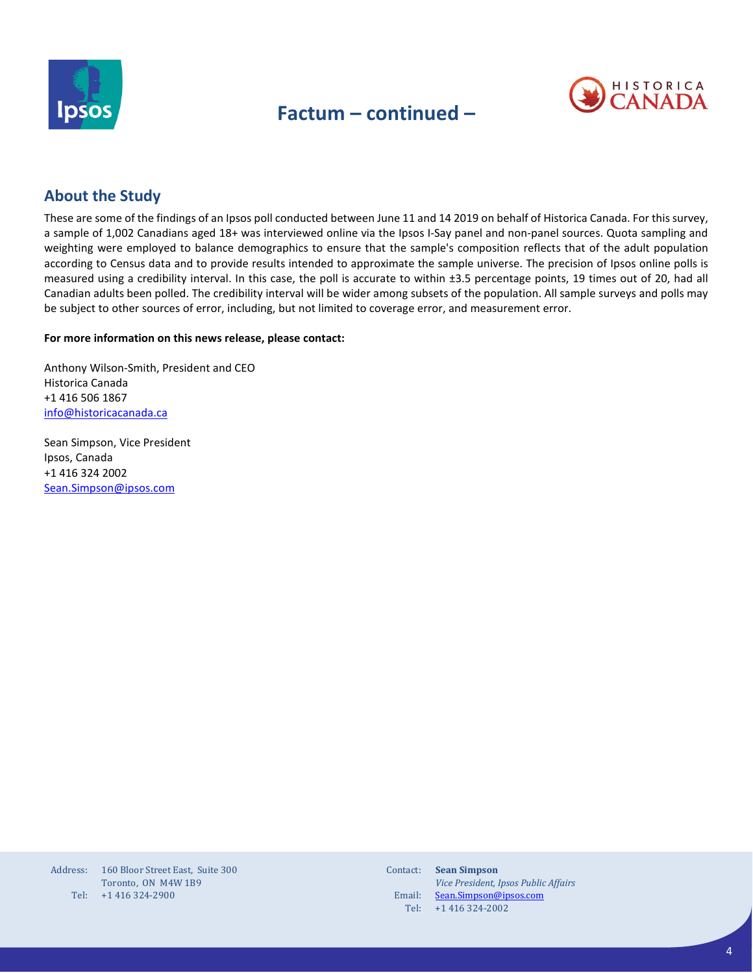

## **Factum – continued –**



### **About the Study**

These are some of the findings of an Ipsos poll conducted between June 11 and 14 2019 on behalf of Historica Canada. For this survey, a sample of 1,002 Canadians aged 18+ was interviewed online via the Ipsos I-Say panel and non-panel sources. Quota sampling and weighting were employed to balance demographics to ensure that the sample's composition reflects that of the adult population according to Census data and to provide results intended to approximate the sample universe. The precision of Ipsos online polls is measured using a credibility interval. In this case, the poll is accurate to within ±3.5 percentage points, 19 times out of 20, had all Canadian adults been polled. The credibility interval will be wider among subsets of the population. All sample surveys and polls may be subject to other sources of error, including, but not limited to coverage error, and measurement error.

#### **For more information on this news release, please contact:**

Anthony Wilson-Smith, President and CEO Historica Canada +1 416 506 1867 [info@historicacanada.ca](mailto:info@historicacanada.ca)

Sean Simpson, Vice President Ipsos, Canada +1 416 324 2002 [Sean.Simpson@ipsos.com](mailto:Sean.Simpson@ipsos.com)

| Address: | 160 Bloor Street East. Suite 300 |
|----------|----------------------------------|
|          | Toronto, ON M4W 1B9              |
| Tel:     | +1 416 324-2900                  |

| Contact: | <b>Sean Simpson</b>                  |
|----------|--------------------------------------|
|          | Vice President, Ipsos Public Affairs |
| Email:   | Sean.Simpson@ipsos.com               |
| Tel:     | +1 416 324-2002                      |